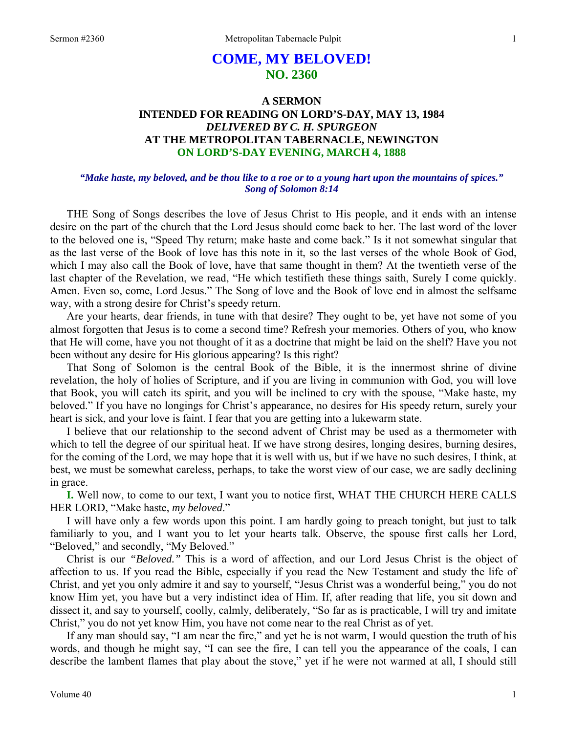# **COME, MY BELOVED! NO. 2360**

# **A SERMON INTENDED FOR READING ON LORD'S-DAY, MAY 13, 1984**  *DELIVERED BY C. H. SPURGEON*  **AT THE METROPOLITAN TABERNACLE, NEWINGTON ON LORD'S-DAY EVENING, MARCH 4, 1888**

# *"Make haste, my beloved, and be thou like to a roe or to a young hart upon the mountains of spices." Song of Solomon 8:14*

THE Song of Songs describes the love of Jesus Christ to His people, and it ends with an intense desire on the part of the church that the Lord Jesus should come back to her. The last word of the lover to the beloved one is, "Speed Thy return; make haste and come back." Is it not somewhat singular that as the last verse of the Book of love has this note in it, so the last verses of the whole Book of God, which I may also call the Book of love, have that same thought in them? At the twentieth verse of the last chapter of the Revelation, we read, "He which testifieth these things saith, Surely I come quickly. Amen. Even so, come, Lord Jesus." The Song of love and the Book of love end in almost the selfsame way, with a strong desire for Christ's speedy return.

Are your hearts, dear friends, in tune with that desire? They ought to be, yet have not some of you almost forgotten that Jesus is to come a second time? Refresh your memories. Others of you, who know that He will come, have you not thought of it as a doctrine that might be laid on the shelf? Have you not been without any desire for His glorious appearing? Is this right?

That Song of Solomon is the central Book of the Bible, it is the innermost shrine of divine revelation, the holy of holies of Scripture, and if you are living in communion with God, you will love that Book, you will catch its spirit, and you will be inclined to cry with the spouse, "Make haste, my beloved." If you have no longings for Christ's appearance, no desires for His speedy return, surely your heart is sick, and your love is faint. I fear that you are getting into a lukewarm state.

I believe that our relationship to the second advent of Christ may be used as a thermometer with which to tell the degree of our spiritual heat. If we have strong desires, longing desires, burning desires, for the coming of the Lord, we may hope that it is well with us, but if we have no such desires, I think, at best, we must be somewhat careless, perhaps, to take the worst view of our case, we are sadly declining in grace.

**I.** Well now, to come to our text, I want you to notice first, WHAT THE CHURCH HERE CALLS HER LORD, "Make haste, *my beloved*."

I will have only a few words upon this point. I am hardly going to preach tonight, but just to talk familiarly to you, and I want you to let your hearts talk. Observe, the spouse first calls her Lord, "Beloved," and secondly, "My Beloved."

Christ is our *"Beloved."* This is a word of affection, and our Lord Jesus Christ is the object of affection to us. If you read the Bible, especially if you read the New Testament and study the life of Christ, and yet you only admire it and say to yourself, "Jesus Christ was a wonderful being," you do not know Him yet, you have but a very indistinct idea of Him. If, after reading that life, you sit down and dissect it, and say to yourself, coolly, calmly, deliberately, "So far as is practicable, I will try and imitate Christ," you do not yet know Him, you have not come near to the real Christ as of yet.

If any man should say, "I am near the fire," and yet he is not warm, I would question the truth of his words, and though he might say, "I can see the fire, I can tell you the appearance of the coals, I can describe the lambent flames that play about the stove," yet if he were not warmed at all, I should still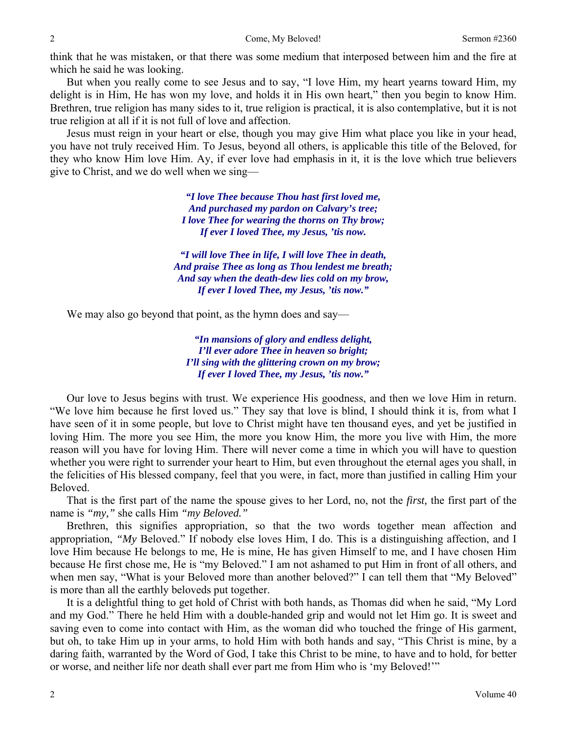think that he was mistaken, or that there was some medium that interposed between him and the fire at which he said he was looking.

But when you really come to see Jesus and to say, "I love Him, my heart yearns toward Him, my delight is in Him, He has won my love, and holds it in His own heart," then you begin to know Him. Brethren, true religion has many sides to it, true religion is practical, it is also contemplative, but it is not true religion at all if it is not full of love and affection.

Jesus must reign in your heart or else, though you may give Him what place you like in your head, you have not truly received Him. To Jesus, beyond all others, is applicable this title of the Beloved, for they who know Him love Him. Ay, if ever love had emphasis in it, it is the love which true believers give to Christ, and we do well when we sing—

> *"I love Thee because Thou hast first loved me, And purchased my pardon on Calvary's tree; I love Thee for wearing the thorns on Thy brow; If ever I loved Thee, my Jesus, 'tis now.*

*"I will love Thee in life, I will love Thee in death, And praise Thee as long as Thou lendest me breath; And say when the death-dew lies cold on my brow, If ever I loved Thee, my Jesus, 'tis now."* 

We may also go beyond that point, as the hymn does and say—

*"In mansions of glory and endless delight, I'll ever adore Thee in heaven so bright; I'll sing with the glittering crown on my brow; If ever I loved Thee, my Jesus, 'tis now."* 

Our love to Jesus begins with trust. We experience His goodness, and then we love Him in return. "We love him because he first loved us." They say that love is blind, I should think it is, from what I have seen of it in some people, but love to Christ might have ten thousand eyes, and yet be justified in loving Him. The more you see Him, the more you know Him, the more you live with Him, the more reason will you have for loving Him. There will never come a time in which you will have to question whether you were right to surrender your heart to Him, but even throughout the eternal ages you shall, in the felicities of His blessed company, feel that you were, in fact, more than justified in calling Him your Beloved.

That is the first part of the name the spouse gives to her Lord, no, not the *first,* the first part of the name is *"my,"* she calls Him *"my Beloved."*

Brethren, this signifies appropriation, so that the two words together mean affection and appropriation, *"My* Beloved." If nobody else loves Him, I do. This is a distinguishing affection, and I love Him because He belongs to me, He is mine, He has given Himself to me, and I have chosen Him because He first chose me, He is "my Beloved." I am not ashamed to put Him in front of all others, and when men say, "What is your Beloved more than another beloved?" I can tell them that "My Beloved" is more than all the earthly beloveds put together.

It is a delightful thing to get hold of Christ with both hands, as Thomas did when he said, "My Lord and my God." There he held Him with a double-handed grip and would not let Him go. It is sweet and saving even to come into contact with Him, as the woman did who touched the fringe of His garment, but oh, to take Him up in your arms, to hold Him with both hands and say, "This Christ is mine, by a daring faith, warranted by the Word of God, I take this Christ to be mine, to have and to hold, for better or worse, and neither life nor death shall ever part me from Him who is 'my Beloved!'"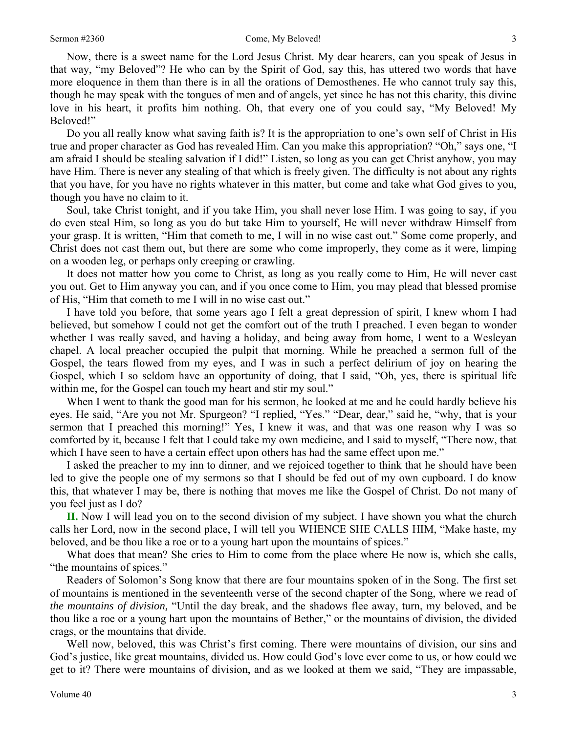Now, there is a sweet name for the Lord Jesus Christ. My dear hearers, can you speak of Jesus in that way, "my Beloved"? He who can by the Spirit of God, say this, has uttered two words that have more eloquence in them than there is in all the orations of Demosthenes. He who cannot truly say this, though he may speak with the tongues of men and of angels, yet since he has not this charity, this divine love in his heart, it profits him nothing. Oh, that every one of you could say, "My Beloved! My Beloved!"

Do you all really know what saving faith is? It is the appropriation to one's own self of Christ in His true and proper character as God has revealed Him. Can you make this appropriation? "Oh," says one, "I am afraid I should be stealing salvation if I did!" Listen, so long as you can get Christ anyhow, you may have Him. There is never any stealing of that which is freely given. The difficulty is not about any rights that you have, for you have no rights whatever in this matter, but come and take what God gives to you, though you have no claim to it.

Soul, take Christ tonight, and if you take Him, you shall never lose Him. I was going to say, if you do even steal Him, so long as you do but take Him to yourself, He will never withdraw Himself from your grasp. It is written, "Him that cometh to me, I will in no wise cast out." Some come properly, and Christ does not cast them out, but there are some who come improperly, they come as it were, limping on a wooden leg, or perhaps only creeping or crawling.

It does not matter how you come to Christ, as long as you really come to Him, He will never cast you out. Get to Him anyway you can, and if you once come to Him, you may plead that blessed promise of His, "Him that cometh to me I will in no wise cast out."

I have told you before, that some years ago I felt a great depression of spirit, I knew whom I had believed, but somehow I could not get the comfort out of the truth I preached. I even began to wonder whether I was really saved, and having a holiday, and being away from home, I went to a Wesleyan chapel. A local preacher occupied the pulpit that morning. While he preached a sermon full of the Gospel, the tears flowed from my eyes, and I was in such a perfect delirium of joy on hearing the Gospel, which I so seldom have an opportunity of doing, that I said, "Oh, yes, there is spiritual life within me, for the Gospel can touch my heart and stir my soul."

When I went to thank the good man for his sermon, he looked at me and he could hardly believe his eyes. He said, "Are you not Mr. Spurgeon? "I replied, "Yes." "Dear, dear," said he, "why, that is your sermon that I preached this morning!" Yes, I knew it was, and that was one reason why I was so comforted by it, because I felt that I could take my own medicine, and I said to myself, "There now, that which I have seen to have a certain effect upon others has had the same effect upon me."

I asked the preacher to my inn to dinner, and we rejoiced together to think that he should have been led to give the people one of my sermons so that I should be fed out of my own cupboard. I do know this, that whatever I may be, there is nothing that moves me like the Gospel of Christ. Do not many of you feel just as I do?

**II.** Now I will lead you on to the second division of my subject. I have shown you what the church calls her Lord, now in the second place, I will tell you WHENCE SHE CALLS HIM, "Make haste, my beloved, and be thou like a roe or to a young hart upon the mountains of spices."

What does that mean? She cries to Him to come from the place where He now is, which she calls, "the mountains of spices."

Readers of Solomon's Song know that there are four mountains spoken of in the Song. The first set of mountains is mentioned in the seventeenth verse of the second chapter of the Song, where we read of *the mountains of division,* "Until the day break, and the shadows flee away, turn, my beloved, and be thou like a roe or a young hart upon the mountains of Bether," or the mountains of division, the divided crags, or the mountains that divide.

Well now, beloved, this was Christ's first coming. There were mountains of division, our sins and God's justice, like great mountains, divided us. How could God's love ever come to us, or how could we get to it? There were mountains of division, and as we looked at them we said, "They are impassable,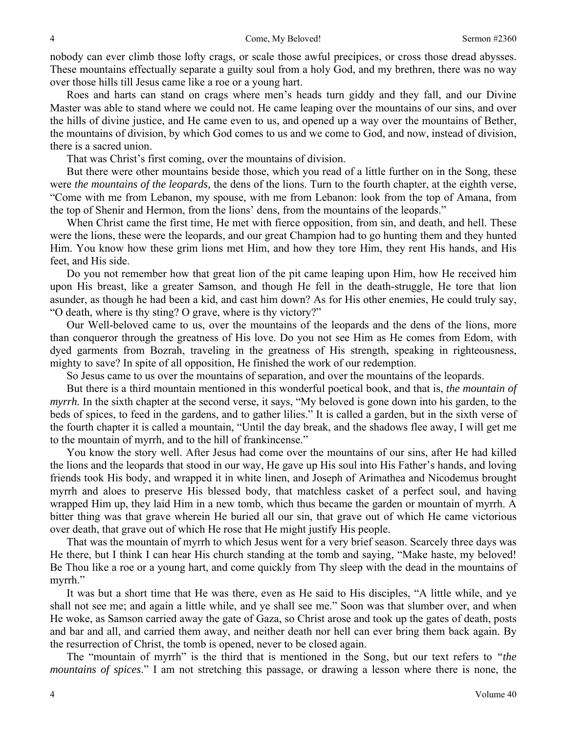nobody can ever climb those lofty crags, or scale those awful precipices, or cross those dread abysses. These mountains effectually separate a guilty soul from a holy God, and my brethren, there was no way over those hills till Jesus came like a roe or a young hart.

Roes and harts can stand on crags where men's heads turn giddy and they fall, and our Divine Master was able to stand where we could not. He came leaping over the mountains of our sins, and over the hills of divine justice, and He came even to us, and opened up a way over the mountains of Bether, the mountains of division, by which God comes to us and we come to God, and now, instead of division, there is a sacred union.

That was Christ's first coming, over the mountains of division.

But there were other mountains beside those, which you read of a little further on in the Song, these were *the mountains of the leopards,* the dens of the lions. Turn to the fourth chapter, at the eighth verse, "Come with me from Lebanon, my spouse, with me from Lebanon: look from the top of Amana, from the top of Shenir and Hermon, from the lions' dens, from the mountains of the leopards."

When Christ came the first time, He met with fierce opposition, from sin, and death, and hell. These were the lions, these were the leopards, and our great Champion had to go hunting them and they hunted Him. You know how these grim lions met Him, and how they tore Him, they rent His hands, and His feet, and His side.

Do you not remember how that great lion of the pit came leaping upon Him, how He received him upon His breast, like a greater Samson, and though He fell in the death-struggle, He tore that lion asunder, as though he had been a kid, and cast him down? As for His other enemies, He could truly say, "O death, where is thy sting? O grave, where is thy victory?"

Our Well-beloved came to us, over the mountains of the leopards and the dens of the lions, more than conqueror through the greatness of His love. Do you not see Him as He comes from Edom, with dyed garments from Bozrah, traveling in the greatness of His strength, speaking in righteousness, mighty to save? In spite of all opposition, He finished the work of our redemption.

So Jesus came to us over the mountains of separation, and over the mountains of the leopards.

But there is a third mountain mentioned in this wonderful poetical book, and that is, *the mountain of myrrh*. In the sixth chapter at the second verse, it says, "My beloved is gone down into his garden, to the beds of spices, to feed in the gardens, and to gather lilies." It is called a garden, but in the sixth verse of the fourth chapter it is called a mountain, "Until the day break, and the shadows flee away, I will get me to the mountain of myrrh, and to the hill of frankincense."

You know the story well. After Jesus had come over the mountains of our sins, after He had killed the lions and the leopards that stood in our way, He gave up His soul into His Father's hands, and loving friends took His body, and wrapped it in white linen, and Joseph of Arimathea and Nicodemus brought myrrh and aloes to preserve His blessed body, that matchless casket of a perfect soul, and having wrapped Him up, they laid Him in a new tomb, which thus became the garden or mountain of myrrh. A bitter thing was that grave wherein He buried all our sin, that grave out of which He came victorious over death, that grave out of which He rose that He might justify His people.

That was the mountain of myrrh to which Jesus went for a very brief season. Scarcely three days was He there, but I think I can hear His church standing at the tomb and saying, "Make haste, my beloved! Be Thou like a roe or a young hart, and come quickly from Thy sleep with the dead in the mountains of myrrh."

It was but a short time that He was there, even as He said to His disciples, "A little while, and ye shall not see me; and again a little while, and ye shall see me." Soon was that slumber over, and when He woke, as Samson carried away the gate of Gaza, so Christ arose and took up the gates of death, posts and bar and all, and carried them away, and neither death nor hell can ever bring them back again. By the resurrection of Christ, the tomb is opened, never to be closed again.

The "mountain of myrrh" is the third that is mentioned in the Song, but our text refers to *"the mountains of spices*." I am not stretching this passage, or drawing a lesson where there is none, the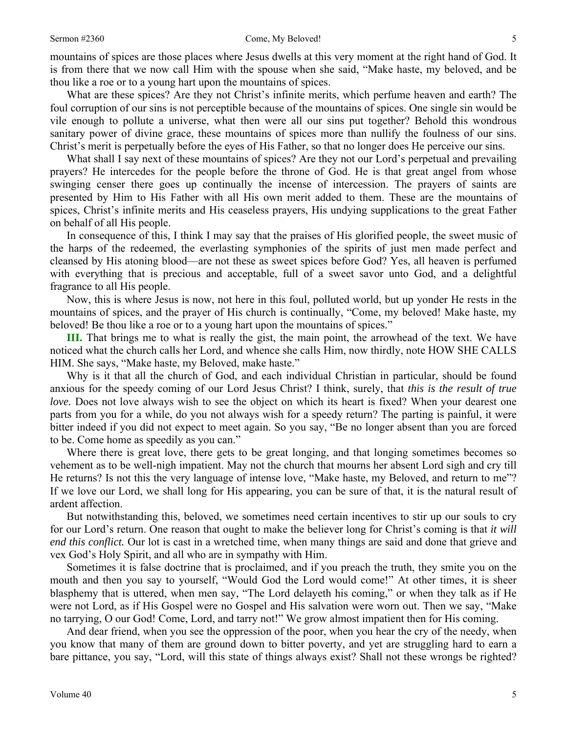mountains of spices are those places where Jesus dwells at this very moment at the right hand of God. It is from there that we now call Him with the spouse when she said, "Make haste, my beloved, and be thou like a roe or to a young hart upon the mountains of spices.

What are these spices? Are they not Christ's infinite merits, which perfume heaven and earth? The foul corruption of our sins is not perceptible because of the mountains of spices. One single sin would be vile enough to pollute a universe, what then were all our sins put together? Behold this wondrous sanitary power of divine grace, these mountains of spices more than nullify the foulness of our sins. Christ's merit is perpetually before the eyes of His Father, so that no longer does He perceive our sins.

What shall I say next of these mountains of spices? Are they not our Lord's perpetual and prevailing prayers? He intercedes for the people before the throne of God. He is that great angel from whose swinging censer there goes up continually the incense of intercession. The prayers of saints are presented by Him to His Father with all His own merit added to them. These are the mountains of spices, Christ's infinite merits and His ceaseless prayers, His undying supplications to the great Father on behalf of all His people.

In consequence of this, I think I may say that the praises of His glorified people, the sweet music of the harps of the redeemed, the everlasting symphonies of the spirits of just men made perfect and cleansed by His atoning blood—are not these as sweet spices before God? Yes, all heaven is perfumed with everything that is precious and acceptable, full of a sweet savor unto God, and a delightful fragrance to all His people.

Now, this is where Jesus is now, not here in this foul, polluted world, but up yonder He rests in the mountains of spices, and the prayer of His church is continually, "Come, my beloved! Make haste, my beloved! Be thou like a roe or to a young hart upon the mountains of spices."

**III.** That brings me to what is really the gist, the main point, the arrowhead of the text. We have noticed what the church calls her Lord, and whence she calls Him, now thirdly, note HOW SHE CALLS HIM. She says, "Make haste, my Beloved, make haste."

Why is it that all the church of God, and each individual Christian in particular, should be found anxious for the speedy coming of our Lord Jesus Christ? I think, surely, that *this is the result of true love*. Does not love always wish to see the object on which its heart is fixed? When your dearest one parts from you for a while, do you not always wish for a speedy return? The parting is painful, it were bitter indeed if you did not expect to meet again. So you say, "Be no longer absent than you are forced to be. Come home as speedily as you can."

Where there is great love, there gets to be great longing, and that longing sometimes becomes so vehement as to be well-nigh impatient. May not the church that mourns her absent Lord sigh and cry till He returns? Is not this the very language of intense love, "Make haste, my Beloved, and return to me"? If we love our Lord, we shall long for His appearing, you can be sure of that, it is the natural result of ardent affection.

But notwithstanding this, beloved, we sometimes need certain incentives to stir up our souls to cry for our Lord's return. One reason that ought to make the believer long for Christ's coming is that *it will end this conflict.* Our lot is cast in a wretched time, when many things are said and done that grieve and vex God's Holy Spirit, and all who are in sympathy with Him.

Sometimes it is false doctrine that is proclaimed, and if you preach the truth, they smite you on the mouth and then you say to yourself, "Would God the Lord would come!" At other times, it is sheer blasphemy that is uttered, when men say, "The Lord delayeth his coming," or when they talk as if He were not Lord, as if His Gospel were no Gospel and His salvation were worn out. Then we say, "Make no tarrying, O our God! Come, Lord, and tarry not!" We grow almost impatient then for His coming.

And dear friend, when you see the oppression of the poor, when you hear the cry of the needy, when you know that many of them are ground down to bitter poverty, and yet are struggling hard to earn a bare pittance, you say, "Lord, will this state of things always exist? Shall not these wrongs be righted?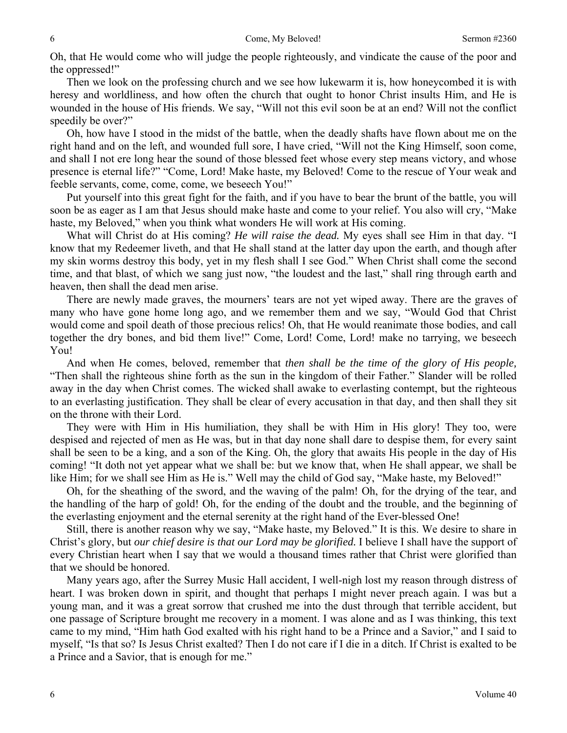Oh, that He would come who will judge the people righteously, and vindicate the cause of the poor and the oppressed!"

Then we look on the professing church and we see how lukewarm it is, how honeycombed it is with heresy and worldliness, and how often the church that ought to honor Christ insults Him, and He is wounded in the house of His friends. We say, "Will not this evil soon be at an end? Will not the conflict speedily be over?"

Oh, how have I stood in the midst of the battle, when the deadly shafts have flown about me on the right hand and on the left, and wounded full sore, I have cried, "Will not the King Himself, soon come, and shall I not ere long hear the sound of those blessed feet whose every step means victory, and whose presence is eternal life?" "Come, Lord! Make haste, my Beloved! Come to the rescue of Your weak and feeble servants, come, come, come, we beseech You!"

Put yourself into this great fight for the faith, and if you have to bear the brunt of the battle, you will soon be as eager as I am that Jesus should make haste and come to your relief. You also will cry, "Make haste, my Beloved," when you think what wonders He will work at His coming.

What will Christ do at His coming? *He will raise the dead*. My eyes shall see Him in that day. "I know that my Redeemer liveth, and that He shall stand at the latter day upon the earth, and though after my skin worms destroy this body, yet in my flesh shall I see God." When Christ shall come the second time, and that blast, of which we sang just now, "the loudest and the last," shall ring through earth and heaven, then shall the dead men arise.

There are newly made graves, the mourners' tears are not yet wiped away. There are the graves of many who have gone home long ago, and we remember them and we say, "Would God that Christ would come and spoil death of those precious relics! Oh, that He would reanimate those bodies, and call together the dry bones, and bid them live!" Come, Lord! Come, Lord! make no tarrying, we beseech You!

And when He comes, beloved, remember that *then shall be the time of the glory of His people,*  "Then shall the righteous shine forth as the sun in the kingdom of their Father." Slander will be rolled away in the day when Christ comes. The wicked shall awake to everlasting contempt, but the righteous to an everlasting justification. They shall be clear of every accusation in that day, and then shall they sit on the throne with their Lord.

They were with Him in His humiliation, they shall be with Him in His glory! They too, were despised and rejected of men as He was, but in that day none shall dare to despise them, for every saint shall be seen to be a king, and a son of the King. Oh, the glory that awaits His people in the day of His coming! "It doth not yet appear what we shall be: but we know that, when He shall appear, we shall be like Him; for we shall see Him as He is." Well may the child of God say, "Make haste, my Beloved!"

Oh, for the sheathing of the sword, and the waving of the palm! Oh, for the drying of the tear, and the handling of the harp of gold! Oh, for the ending of the doubt and the trouble, and the beginning of the everlasting enjoyment and the eternal serenity at the right hand of the Ever-blessed One!

Still, there is another reason why we say, "Make haste, my Beloved." It is this. We desire to share in Christ's glory, but *our chief desire is that our Lord may be glorified.* I believe I shall have the support of every Christian heart when I say that we would a thousand times rather that Christ were glorified than that we should be honored.

Many years ago, after the Surrey Music Hall accident, I well-nigh lost my reason through distress of heart. I was broken down in spirit, and thought that perhaps I might never preach again. I was but a young man, and it was a great sorrow that crushed me into the dust through that terrible accident, but one passage of Scripture brought me recovery in a moment. I was alone and as I was thinking, this text came to my mind, "Him hath God exalted with his right hand to be a Prince and a Savior," and I said to myself, "Is that so? Is Jesus Christ exalted? Then I do not care if I die in a ditch. If Christ is exalted to be a Prince and a Savior, that is enough for me."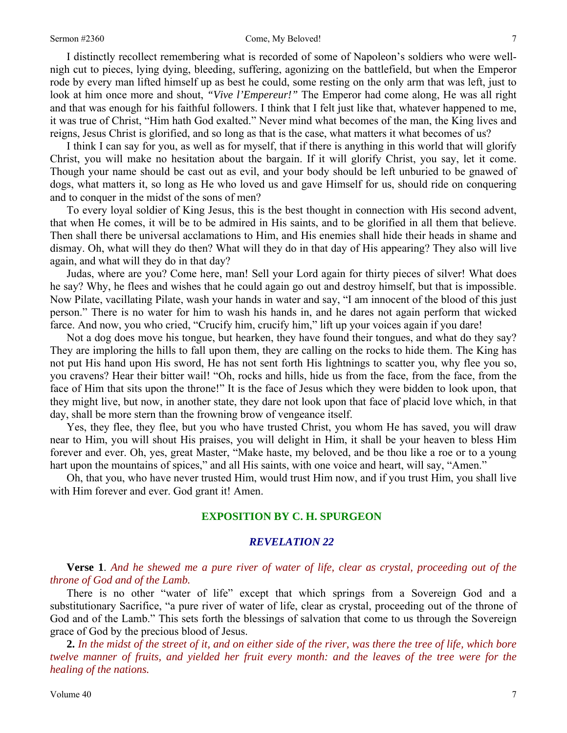#### Sermon #2360 Come, My Beloved! 7

I distinctly recollect remembering what is recorded of some of Napoleon's soldiers who were wellnigh cut to pieces, lying dying, bleeding, suffering, agonizing on the battlefield, but when the Emperor rode by every man lifted himself up as best he could, some resting on the only arm that was left, just to look at him once more and shout, *"Vive l'Empereur!"* The Emperor had come along, He was all right and that was enough for his faithful followers. I think that I felt just like that, whatever happened to me, it was true of Christ, "Him hath God exalted." Never mind what becomes of the man, the King lives and reigns, Jesus Christ is glorified, and so long as that is the case, what matters it what becomes of us?

I think I can say for you, as well as for myself, that if there is anything in this world that will glorify Christ, you will make no hesitation about the bargain. If it will glorify Christ, you say, let it come. Though your name should be cast out as evil, and your body should be left unburied to be gnawed of dogs, what matters it, so long as He who loved us and gave Himself for us, should ride on conquering and to conquer in the midst of the sons of men?

To every loyal soldier of King Jesus, this is the best thought in connection with His second advent, that when He comes, it will be to be admired in His saints, and to be glorified in all them that believe. Then shall there be universal acclamations to Him, and His enemies shall hide their heads in shame and dismay. Oh, what will they do then? What will they do in that day of His appearing? They also will live again, and what will they do in that day?

Judas, where are you? Come here, man! Sell your Lord again for thirty pieces of silver! What does he say? Why, he flees and wishes that he could again go out and destroy himself, but that is impossible. Now Pilate, vacillating Pilate, wash your hands in water and say, "I am innocent of the blood of this just person." There is no water for him to wash his hands in, and he dares not again perform that wicked farce. And now, you who cried, "Crucify him, crucify him," lift up your voices again if you dare!

Not a dog does move his tongue, but hearken, they have found their tongues, and what do they say? They are imploring the hills to fall upon them, they are calling on the rocks to hide them. The King has not put His hand upon His sword, He has not sent forth His lightnings to scatter you, why flee you so, you cravens? Hear their bitter wail! "Oh, rocks and hills, hide us from the face, from the face, from the face of Him that sits upon the throne!" It is the face of Jesus which they were bidden to look upon, that they might live, but now, in another state, they dare not look upon that face of placid love which, in that day, shall be more stern than the frowning brow of vengeance itself.

Yes, they flee, they flee, but you who have trusted Christ, you whom He has saved, you will draw near to Him, you will shout His praises, you will delight in Him, it shall be your heaven to bless Him forever and ever. Oh, yes, great Master, "Make haste, my beloved, and be thou like a roe or to a young hart upon the mountains of spices," and all His saints, with one voice and heart, will say, "Amen."

Oh, that you, who have never trusted Him, would trust Him now, and if you trust Him, you shall live with Him forever and ever. God grant it! Amen.

# **EXPOSITION BY C. H. SPURGEON**

### *REVELATION 22*

**Verse 1**. *And he shewed me a pure river of water of life, clear as crystal, proceeding out of the throne of God and of the Lamb.* 

There is no other "water of life" except that which springs from a Sovereign God and a substitutionary Sacrifice, "a pure river of water of life, clear as crystal, proceeding out of the throne of God and of the Lamb." This sets forth the blessings of salvation that come to us through the Sovereign grace of God by the precious blood of Jesus.

**2.** *In the midst of the street of it, and on either side of the river, was there the tree of life, which bore twelve manner of fruits, and yielded her fruit every month: and the leaves of the tree were for the healing of the nations.*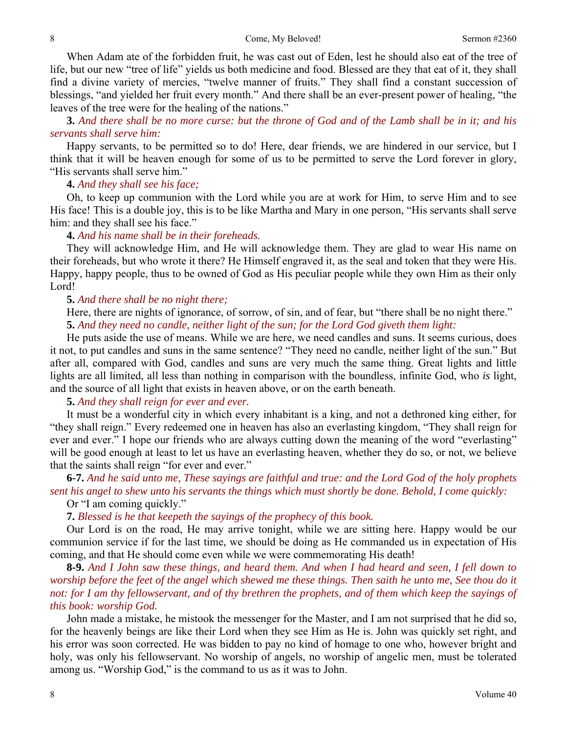When Adam ate of the forbidden fruit, he was cast out of Eden, lest he should also eat of the tree of life, but our new "tree of life" yields us both medicine and food. Blessed are they that eat of it, they shall find a divine variety of mercies, "twelve manner of fruits." They shall find a constant succession of blessings, "and yielded her fruit every month." And there shall be an ever-present power of healing, "the leaves of the tree were for the healing of the nations."

**3.** *And there shall be no more curse: but the throne of God and of the Lamb shall be in it; and his servants shall serve him:* 

Happy servants, to be permitted so to do! Here, dear friends, we are hindered in our service, but I think that it will be heaven enough for some of us to be permitted to serve the Lord forever in glory, "His servants shall serve him."

**4.** *And they shall see his face;* 

Oh, to keep up communion with the Lord while you are at work for Him, to serve Him and to see His face! This is a double joy, this is to be like Martha and Mary in one person, "His servants shall serve him: and they shall see his face."

**4.** *And his name shall be in their foreheads.* 

They will acknowledge Him, and He will acknowledge them. They are glad to wear His name on their foreheads, but who wrote it there? He Himself engraved it, as the seal and token that they were His. Happy, happy people, thus to be owned of God as His peculiar people while they own Him as their only Lord!

**5.** *And there shall be no night there;* 

Here, there are nights of ignorance, of sorrow, of sin, and of fear, but "there shall be no night there." **5.** *And they need no candle, neither light of the sun; for the Lord God giveth them light:* 

He puts aside the use of means. While we are here, we need candles and suns. It seems curious, does it not, to put candles and suns in the same sentence? "They need no candle, neither light of the sun." But after all, compared with God, candles and suns are very much the same thing. Great lights and little lights are all limited, all less than nothing in comparison with the boundless, infinite God, who *is* light, and the source of all light that exists in heaven above, or on the earth beneath.

**5.** *And they shall reign for ever and ever.* 

It must be a wonderful city in which every inhabitant is a king, and not a dethroned king either, for "they shall reign." Every redeemed one in heaven has also an everlasting kingdom, "They shall reign for ever and ever." I hope our friends who are always cutting down the meaning of the word "everlasting" will be good enough at least to let us have an everlasting heaven, whether they do so, or not, we believe that the saints shall reign "for ever and ever."

**6-7.** *And he said unto me, These sayings are faithful and true: and the Lord God of the holy prophets sent his angel to shew unto his servants the things which must shortly be done. Behold, I come quickly:* 

Or "I am coming quickly."

**7.** *Blessed is he that keepeth the sayings of the prophecy of this book.* 

Our Lord is on the road, He may arrive tonight, while we are sitting here. Happy would be our communion service if for the last time, we should be doing as He commanded us in expectation of His coming, and that He should come even while we were commemorating His death!

**8-9.** *And I John saw these things, and heard them. And when I had heard and seen, I fell down to worship before the feet of the angel which shewed me these things. Then saith he unto me, See thou do it not: for I am thy fellowservant, and of thy brethren the prophets, and of them which keep the sayings of this book: worship God.* 

John made a mistake, he mistook the messenger for the Master, and I am not surprised that he did so, for the heavenly beings are like their Lord when they see Him as He is. John was quickly set right, and his error was soon corrected. He was bidden to pay no kind of homage to one who, however bright and holy, was only his fellowservant. No worship of angels, no worship of angelic men, must be tolerated among us. "Worship God," is the command to us as it was to John.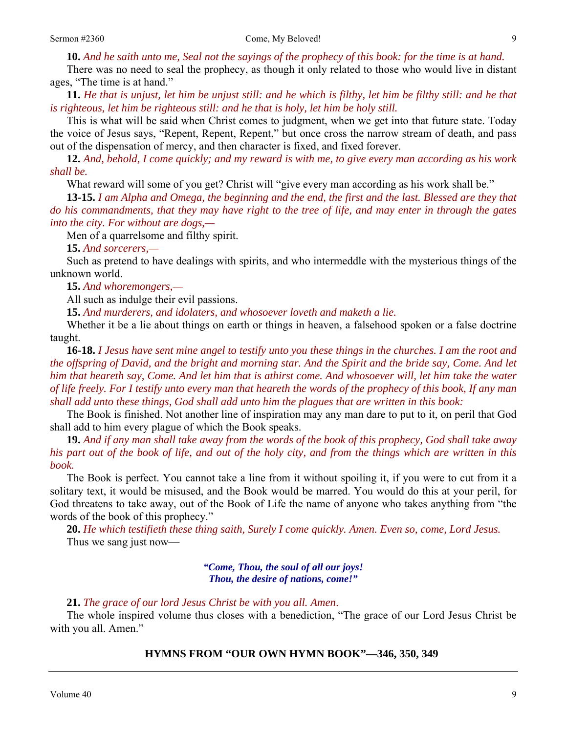**10.** *And he saith unto me, Seal not the sayings of the prophecy of this book: for the time is at hand.* 

There was no need to seal the prophecy, as though it only related to those who would live in distant ages, "The time is at hand."

**11.** *He that is unjust, let him be unjust still: and he which is filthy, let him be filthy still: and he that is righteous, let him be righteous still: and he that is holy, let him be holy still.* 

This is what will be said when Christ comes to judgment, when we get into that future state. Today the voice of Jesus says, "Repent, Repent, Repent," but once cross the narrow stream of death, and pass out of the dispensation of mercy, and then character is fixed, and fixed forever.

**12.** *And, behold, I come quickly; and my reward is with me, to give every man according as his work shall be.* 

What reward will some of you get? Christ will "give every man according as his work shall be."

**13-15.** *I am Alpha and Omega, the beginning and the end, the first and the last. Blessed are they that do his commandments, that they may have right to the tree of life, and may enter in through the gates into the city. For without are dogs,—* 

Men of a quarrelsome and filthy spirit.

**15.** *And sorcerers,—* 

Such as pretend to have dealings with spirits, and who intermeddle with the mysterious things of the unknown world.

**15.** *And whoremongers,—*

All such as indulge their evil passions.

**15.** *And murderers, and idolaters, and whosoever loveth and maketh a lie.* 

Whether it be a lie about things on earth or things in heaven, a falsehood spoken or a false doctrine taught.

**16-18.** *I Jesus have sent mine angel to testify unto you these things in the churches. I am the root and the offspring of David, and the bright and morning star. And the Spirit and the bride say, Come. And let him that heareth say, Come. And let him that is athirst come. And whosoever will, let him take the water of life freely. For I testify unto every man that heareth the words of the prophecy of this book, If any man shall add unto these things, God shall add unto him the plagues that are written in this book:* 

The Book is finished. Not another line of inspiration may any man dare to put to it, on peril that God shall add to him every plague of which the Book speaks.

**19.** *And if any man shall take away from the words of the book of this prophecy, God shall take away his part out of the book of life, and out of the holy city, and from the things which are written in this book.* 

The Book is perfect. You cannot take a line from it without spoiling it, if you were to cut from it a solitary text, it would be misused, and the Book would be marred. You would do this at your peril, for God threatens to take away, out of the Book of Life the name of anyone who takes anything from "the words of the book of this prophecy."

**20.** *He which testifieth these thing saith, Surely I come quickly. Amen. Even so, come, Lord Jesus.*  Thus we sang just now—

> *"Come, Thou, the soul of all our joys! Thou, the desire of nations, come!"*

**21.** *The grace of our lord Jesus Christ be with you all. Amen*.

The whole inspired volume thus closes with a benediction, "The grace of our Lord Jesus Christ be with you all. Amen."

## **HYMNS FROM "OUR OWN HYMN BOOK"—346, 350, 349**